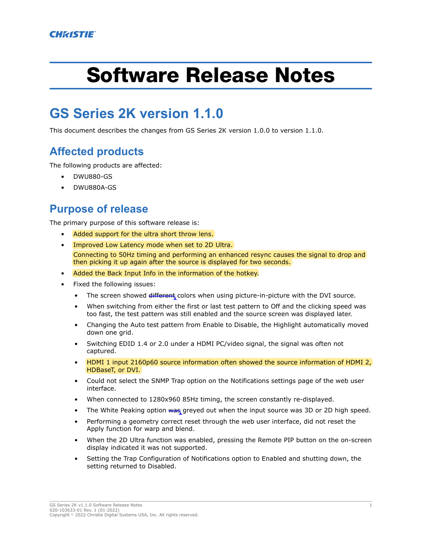# Software Release Notes

# **GS Series 2K version 1.1.0**

This document describes the changes from GS Series 2K version 1.0.0 to version 1.1.0.

## **Affected products**

The following products are affected:

- DWU880-GS
- DWU880A-GS

### **Purpose of release**

The primary purpose of this software release is:

- Added support for the ultra short throw lens.
- Improved Low Latency mode when set to 2D Ultra. Connecting to 50Hz timing and performing an enhanced resync causes the signal to drop and then picking it up again after the source is displayed for two seconds.
- Added the Back Input Info in the information of the hotkey.
- Fixed the following issues:
	- The screen showed different colors when using picture-in-picture with the DVI source.
	- When switching from either the first or last test pattern to Off and the clicking speed was too fast, the test pattern was still enabled and the source screen was displayed later.
	- Changing the Auto test pattern from Enable to Disable, the Highlight automatically moved down one grid.
	- Switching EDID 1.4 or 2.0 under a HDMI PC/video signal, the signal was often not captured.
	- HDMI 1 input 2160p60 source information often showed the source information of HDMI 2, HDBaseT, or DVI.
	- Could not select the SNMP Trap option on the Notifications settings page of the web user interface.
	- When connected to 1280x960 85Hz timing, the screen constantly re-displayed.
	- The White Peaking option was greyed out when the input source was 3D or 2D high speed.
	- Performing a geometry correct reset through the web user interface, did not reset the Apply function for warp and blend.
	- When the 2D Ultra function was enabled, pressing the Remote PIP button on the on-screen display indicated it was not supported.
	- Setting the Trap Configuration of Notifications option to Enabled and shutting down, the setting returned to Disabled.